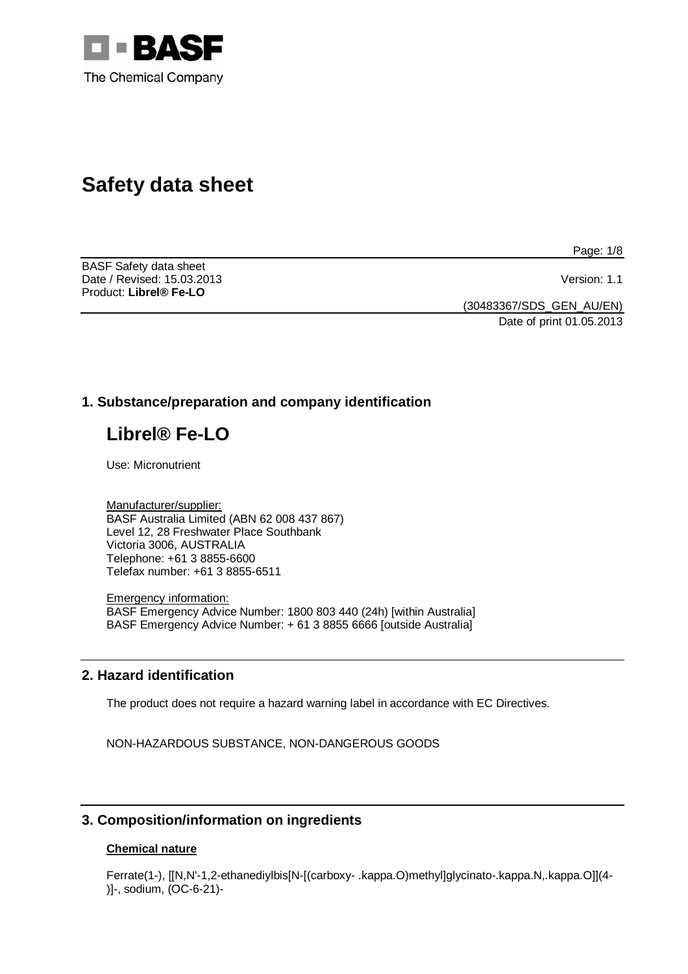

# **Safety data sheet**

BASF Safety data sheet Date / Revised: 15.03.2013 Version: 1.1 Product: **Librel® Fe-LO** 

Page: 1/8

(30483367/SDS\_GEN\_AU/EN)

Date of print 01.05.2013

# **1. Substance/preparation and company identification**

# **Librel® Fe-LO**

Use: Micronutrient

Manufacturer/supplier: BASF Australia Limited (ABN 62 008 437 867) Level 12, 28 Freshwater Place Southbank Victoria 3006, AUSTRALIA Telephone: +61 3 8855-6600 Telefax number: +61 3 8855-6511

Emergency information: BASF Emergency Advice Number: 1800 803 440 (24h) [within Australia] BASF Emergency Advice Number: + 61 3 8855 6666 [outside Australia]

# **2. Hazard identification**

The product does not require a hazard warning label in accordance with EC Directives.

NON-HAZARDOUS SUBSTANCE, NON-DANGEROUS GOODS

# **3. Composition/information on ingredients**

## **Chemical nature**

Ferrate(1-), [[N,N'-1,2-ethanediylbis[N-[(carboxy- .kappa.O)methyl]glycinato-.kappa.N,.kappa.O]](4- )]-, sodium, (OC-6-21)-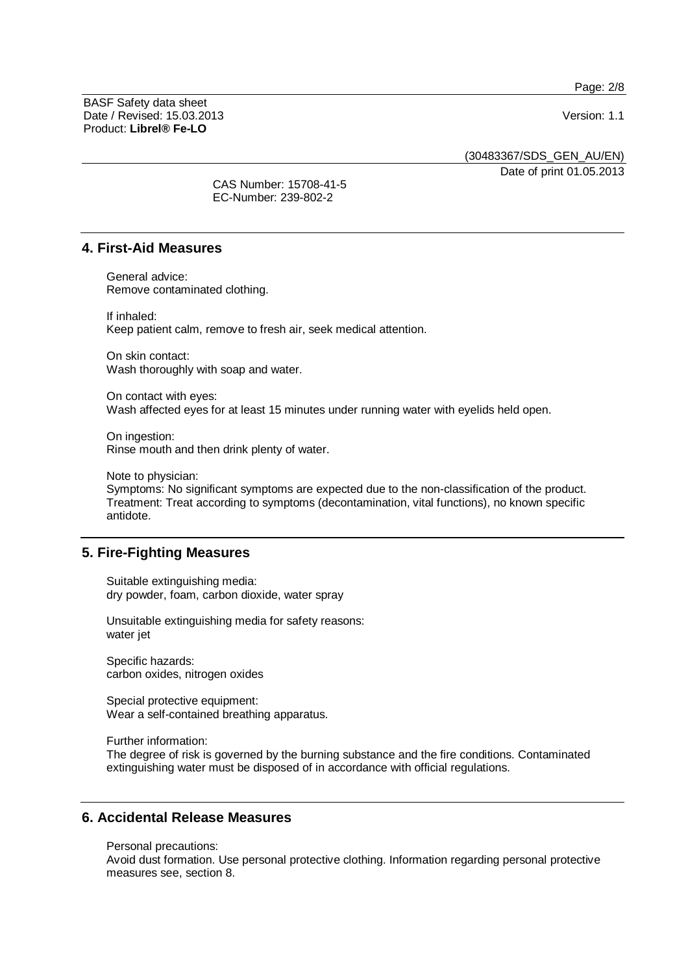Page: 2/8

BASF Safety data sheet Date / Revised: 15.03.2013 Version: 1.1 Product: **Librel® Fe-LO**

(30483367/SDS\_GEN\_AU/EN)

Date of print 01.05.2013

CAS Number: 15708-41-5 EC-Number: 239-802-2

# **4. First-Aid Measures**

General advice: Remove contaminated clothing.

If inhaled: Keep patient calm, remove to fresh air, seek medical attention.

On skin contact: Wash thoroughly with soap and water.

On contact with eyes: Wash affected eyes for at least 15 minutes under running water with eyelids held open.

On ingestion: Rinse mouth and then drink plenty of water.

Note to physician:

Symptoms: No significant symptoms are expected due to the non-classification of the product. Treatment: Treat according to symptoms (decontamination, vital functions), no known specific antidote.

# **5. Fire-Fighting Measures**

Suitable extinguishing media: dry powder, foam, carbon dioxide, water spray

Unsuitable extinguishing media for safety reasons: water jet

Specific hazards: carbon oxides, nitrogen oxides

Special protective equipment: Wear a self-contained breathing apparatus.

Further information:

The degree of risk is governed by the burning substance and the fire conditions. Contaminated extinguishing water must be disposed of in accordance with official regulations.

## **6. Accidental Release Measures**

Personal precautions:

Avoid dust formation. Use personal protective clothing. Information regarding personal protective measures see, section 8.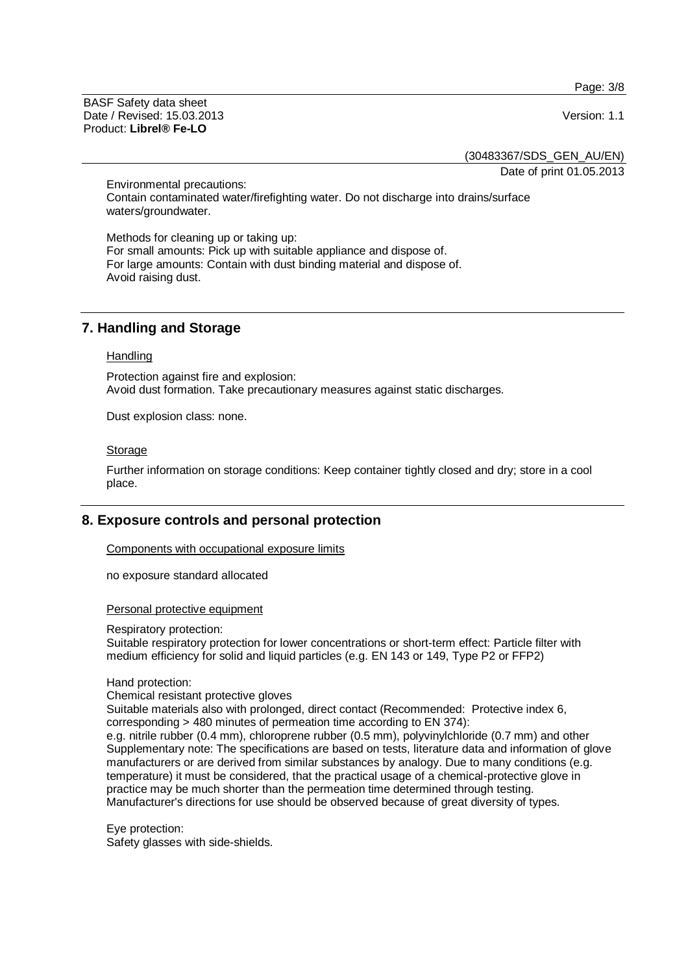Page: 3/8

BASF Safety data sheet Date / Revised: 15.03.2013 Version: 1.1 Product: **Librel® Fe-LO**

(30483367/SDS\_GEN\_AU/EN)

Date of print 01.05.2013

Environmental precautions: Contain contaminated water/firefighting water. Do not discharge into drains/surface waters/groundwater.

Methods for cleaning up or taking up: For small amounts: Pick up with suitable appliance and dispose of. For large amounts: Contain with dust binding material and dispose of. Avoid raising dust.

# **7. Handling and Storage**

#### **Handling**

Protection against fire and explosion: Avoid dust formation. Take precautionary measures against static discharges.

Dust explosion class: none.

#### Storage

Further information on storage conditions: Keep container tightly closed and dry; store in a cool place.

# **8. Exposure controls and personal protection**

Components with occupational exposure limits

no exposure standard allocated

#### Personal protective equipment

#### Respiratory protection:

Suitable respiratory protection for lower concentrations or short-term effect: Particle filter with medium efficiency for solid and liquid particles (e.g. EN 143 or 149, Type P2 or FFP2)

#### Hand protection:

#### Chemical resistant protective gloves

Suitable materials also with prolonged, direct contact (Recommended: Protective index 6, corresponding > 480 minutes of permeation time according to EN 374):

e.g. nitrile rubber (0.4 mm), chloroprene rubber (0.5 mm), polyvinylchloride (0.7 mm) and other Supplementary note: The specifications are based on tests, literature data and information of glove manufacturers or are derived from similar substances by analogy. Due to many conditions (e.g. temperature) it must be considered, that the practical usage of a chemical-protective glove in practice may be much shorter than the permeation time determined through testing. Manufacturer's directions for use should be observed because of great diversity of types.

Eye protection: Safety glasses with side-shields.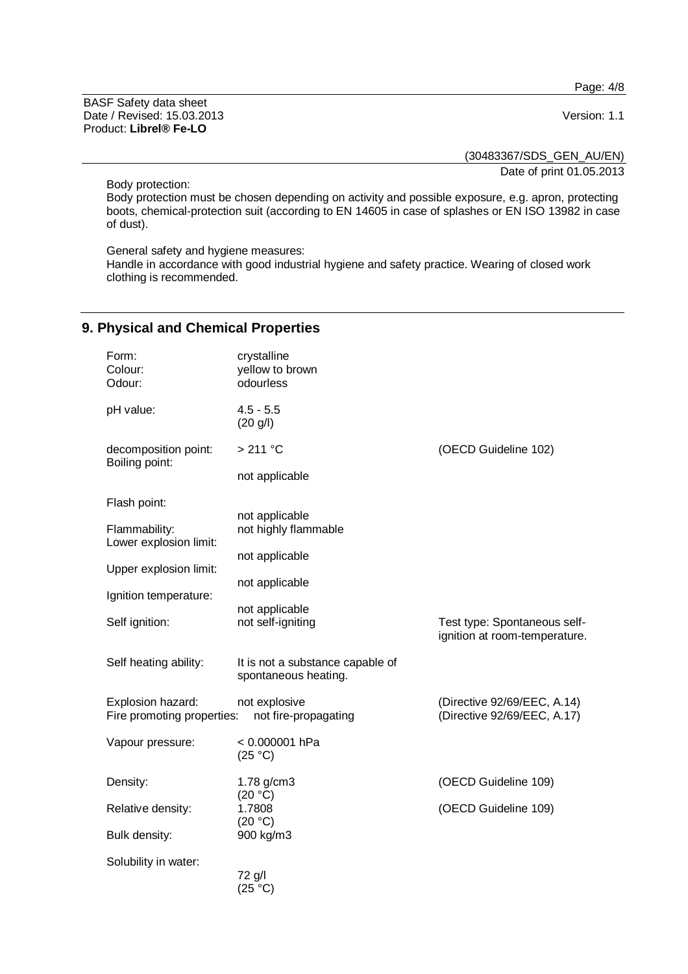Page: 4/8

BASF Safety data sheet Date / Revised: 15.03.2013 Version: 1.1 Product: **Librel® Fe-LO**

(30483367/SDS\_GEN\_AU/EN)

Date of print 01.05.2013

Body protection:

Body protection must be chosen depending on activity and possible exposure, e.g. apron, protecting boots, chemical-protection suit (according to EN 14605 in case of splashes or EN ISO 13982 in case of dust).

General safety and hygiene measures:

Handle in accordance with good industrial hygiene and safety practice. Wearing of closed work clothing is recommended.

# **9. Physical and Chemical Properties**

| Form:<br>Colour:<br>Odour:                      | crystalline<br>yellow to brown<br>odourless              |                                                               |
|-------------------------------------------------|----------------------------------------------------------|---------------------------------------------------------------|
| pH value:                                       | $4.5 - 5.5$<br>(20 g/l)                                  |                                                               |
| decomposition point:<br>Boiling point:          | $>211$ °C                                                | (OECD Guideline 102)                                          |
|                                                 | not applicable                                           |                                                               |
| Flash point:                                    |                                                          |                                                               |
| Flammability:<br>Lower explosion limit:         | not applicable<br>not highly flammable                   |                                                               |
|                                                 | not applicable                                           |                                                               |
| Upper explosion limit:                          | not applicable                                           |                                                               |
| Ignition temperature:                           |                                                          |                                                               |
| Self ignition:                                  | not applicable<br>not self-igniting                      | Test type: Spontaneous self-<br>ignition at room-temperature. |
| Self heating ability:                           | It is not a substance capable of<br>spontaneous heating. |                                                               |
| Explosion hazard:<br>Fire promoting properties: | not explosive<br>not fire-propagating                    | (Directive 92/69/EEC, A.14)<br>(Directive 92/69/EEC, A.17)    |
| Vapour pressure:                                | < 0.000001 hPa<br>(25 °C)                                |                                                               |
| Density:                                        | 1.78 g/cm3                                               | (OECD Guideline 109)                                          |
| Relative density:                               | (20 °C)<br>1.7808<br>(20 °C)                             | (OECD Guideline 109)                                          |
| Bulk density:                                   | 900 kg/m3                                                |                                                               |
| Solubility in water:                            |                                                          |                                                               |
|                                                 | 72 g/l<br>(25 °C)                                        |                                                               |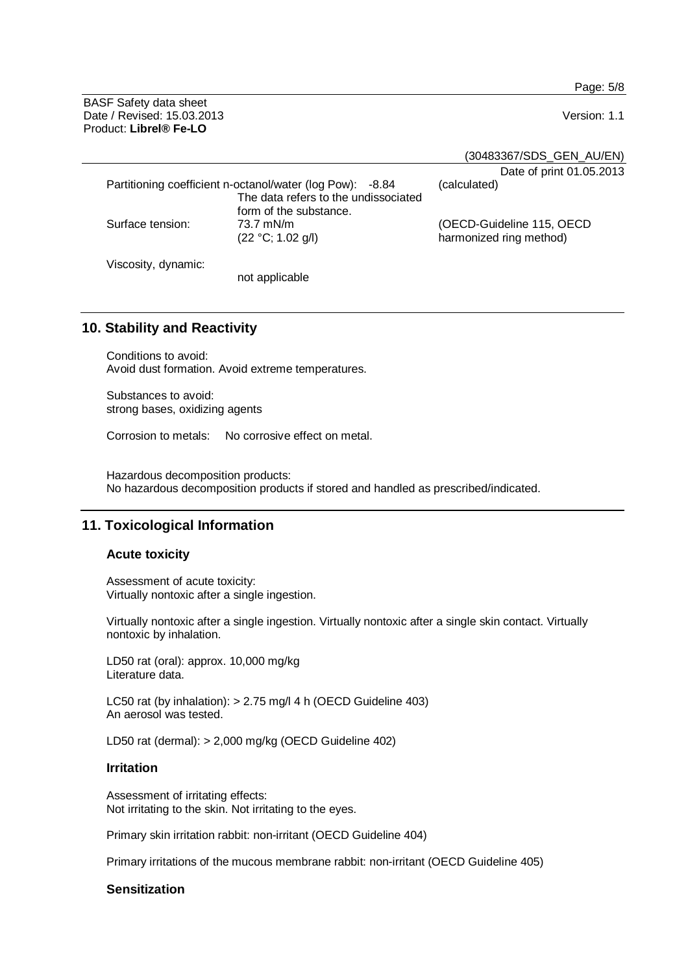Page: 5/8

BASF Safety data sheet Date / Revised: 15.03.2013 Version: 1.1 Product: **Librel® Fe-LO**

(30483367/SDS\_GEN\_AU/EN)

|                                                           |                                      | Date of print 01.05.2013  |
|-----------------------------------------------------------|--------------------------------------|---------------------------|
| Partitioning coefficient n-octanol/water (log Pow): -8.84 |                                      | (calculated)              |
|                                                           | The data refers to the undissociated |                           |
|                                                           | form of the substance.               |                           |
| Surface tension:                                          | 73.7 mN/m                            | (OECD-Guideline 115, OECD |
|                                                           | (22 °C; 1.02 g/l)                    | harmonized ring method)   |
|                                                           |                                      |                           |
| Viscosity, dynamic:                                       |                                      |                           |
|                                                           | not applicable                       |                           |

# **10. Stability and Reactivity**

Conditions to avoid: Avoid dust formation. Avoid extreme temperatures.

Substances to avoid: strong bases, oxidizing agents

Corrosion to metals: No corrosive effect on metal.

Hazardous decomposition products: No hazardous decomposition products if stored and handled as prescribed/indicated.

# **11. Toxicological Information**

#### **Acute toxicity**

Assessment of acute toxicity: Virtually nontoxic after a single ingestion.

Virtually nontoxic after a single ingestion. Virtually nontoxic after a single skin contact. Virtually nontoxic by inhalation.

LD50 rat (oral): approx. 10,000 mg/kg Literature data.

LC50 rat (by inhalation): > 2.75 mg/l 4 h (OECD Guideline 403) An aerosol was tested.

LD50 rat (dermal): > 2,000 mg/kg (OECD Guideline 402)

## **Irritation**

Assessment of irritating effects: Not irritating to the skin. Not irritating to the eyes.

Primary skin irritation rabbit: non-irritant (OECD Guideline 404)

Primary irritations of the mucous membrane rabbit: non-irritant (OECD Guideline 405)

## **Sensitization**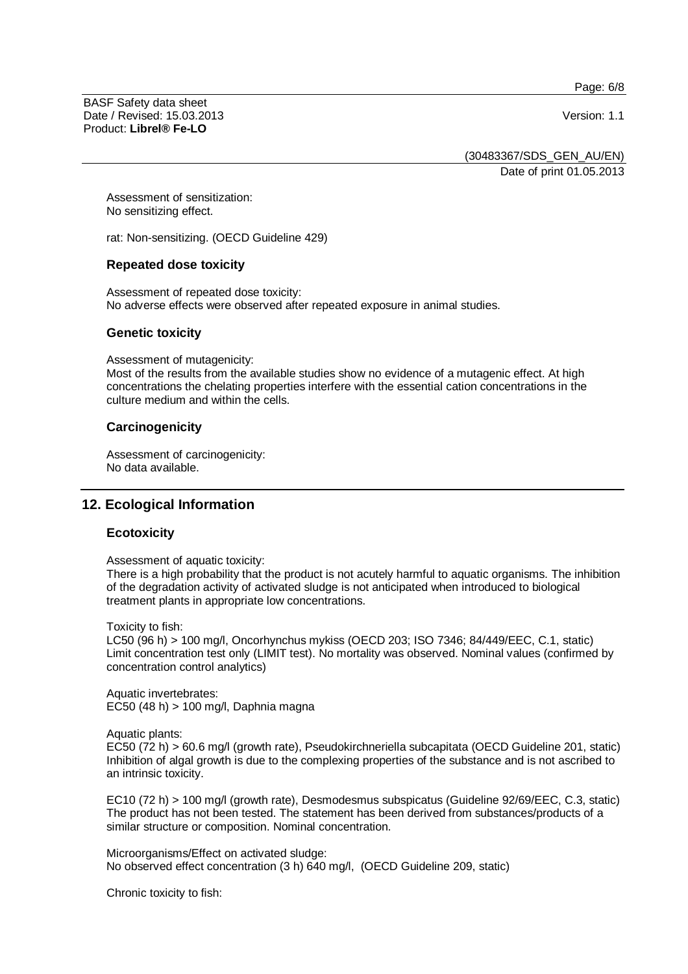Page: 6/8

BASF Safety data sheet Date / Revised: 15.03.2013 Version: 1.1 Product: **Librel® Fe-LO**

(30483367/SDS\_GEN\_AU/EN)

Date of print 01.05.2013

Assessment of sensitization: No sensitizing effect.

rat: Non-sensitizing. (OECD Guideline 429)

## **Repeated dose toxicity**

Assessment of repeated dose toxicity: No adverse effects were observed after repeated exposure in animal studies.

## **Genetic toxicity**

Assessment of mutagenicity:

Most of the results from the available studies show no evidence of a mutagenic effect. At high concentrations the chelating properties interfere with the essential cation concentrations in the culture medium and within the cells.

## **Carcinogenicity**

Assessment of carcinogenicity: No data available.

# **12. Ecological Information**

## **Ecotoxicity**

Assessment of aquatic toxicity:

There is a high probability that the product is not acutely harmful to aquatic organisms. The inhibition of the degradation activity of activated sludge is not anticipated when introduced to biological treatment plants in appropriate low concentrations.

Toxicity to fish:

LC50 (96 h) > 100 mg/l, Oncorhynchus mykiss (OECD 203; ISO 7346; 84/449/EEC, C.1, static) Limit concentration test only (LIMIT test). No mortality was observed. Nominal values (confirmed by concentration control analytics)

Aquatic invertebrates: EC50 (48 h) > 100 mg/l, Daphnia magna

Aquatic plants:

EC50 (72 h) > 60.6 mg/l (growth rate), Pseudokirchneriella subcapitata (OECD Guideline 201, static) Inhibition of algal growth is due to the complexing properties of the substance and is not ascribed to an intrinsic toxicity.

EC10 (72 h) > 100 mg/l (growth rate), Desmodesmus subspicatus (Guideline 92/69/EEC, C.3, static) The product has not been tested. The statement has been derived from substances/products of a similar structure or composition. Nominal concentration.

Microorganisms/Effect on activated sludge: No observed effect concentration (3 h) 640 mg/l, (OECD Guideline 209, static)

Chronic toxicity to fish: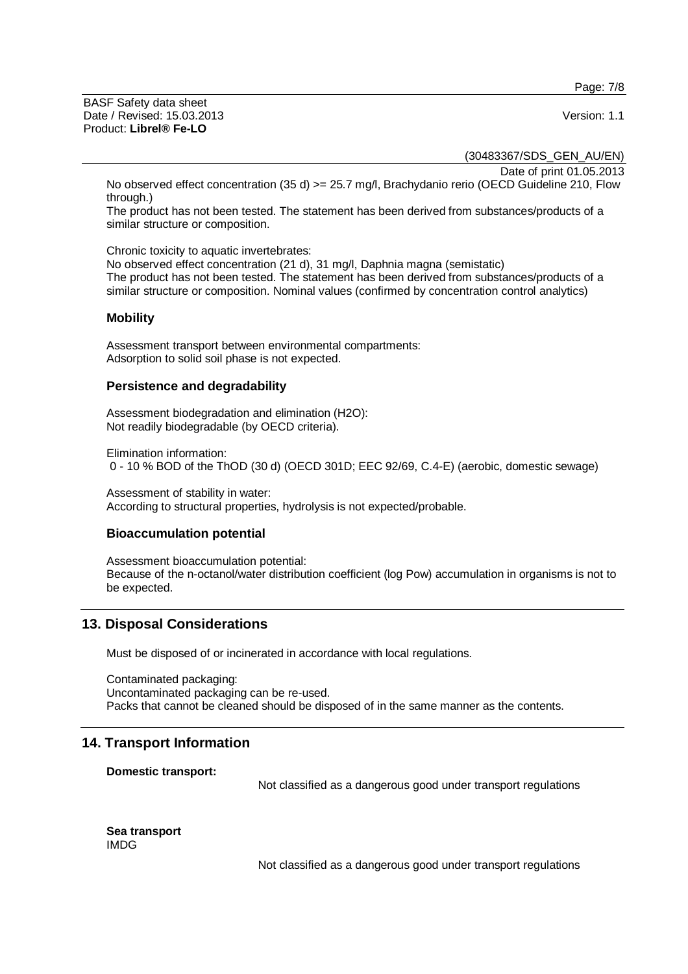Page: 7/8

BASF Safety data sheet Date / Revised: 15.03.2013 Version: 1.1 Product: **Librel® Fe-LO**

(30483367/SDS\_GEN\_AU/EN)

Date of print 01.05.2013

No observed effect concentration (35 d) >= 25.7 mg/l, Brachydanio rerio (OECD Guideline 210, Flow through.)

The product has not been tested. The statement has been derived from substances/products of a similar structure or composition.

Chronic toxicity to aquatic invertebrates:

No observed effect concentration (21 d), 31 mg/l, Daphnia magna (semistatic) The product has not been tested. The statement has been derived from substances/products of a similar structure or composition. Nominal values (confirmed by concentration control analytics)

## **Mobility**

Assessment transport between environmental compartments: Adsorption to solid soil phase is not expected.

## **Persistence and degradability**

Assessment biodegradation and elimination (H2O): Not readily biodegradable (by OECD criteria).

Elimination information: 0 - 10 % BOD of the ThOD (30 d) (OECD 301D; EEC 92/69, C.4-E) (aerobic, domestic sewage)

Assessment of stability in water: According to structural properties, hydrolysis is not expected/probable.

## **Bioaccumulation potential**

Assessment bioaccumulation potential: Because of the n-octanol/water distribution coefficient (log Pow) accumulation in organisms is not to be expected.

# **13. Disposal Considerations**

Must be disposed of or incinerated in accordance with local regulations.

Contaminated packaging: Uncontaminated packaging can be re-used. Packs that cannot be cleaned should be disposed of in the same manner as the contents.

# **14. Transport Information**

**Domestic transport:** 

Not classified as a dangerous good under transport regulations

**Sea transport**  IMDG

Not classified as a dangerous good under transport regulations